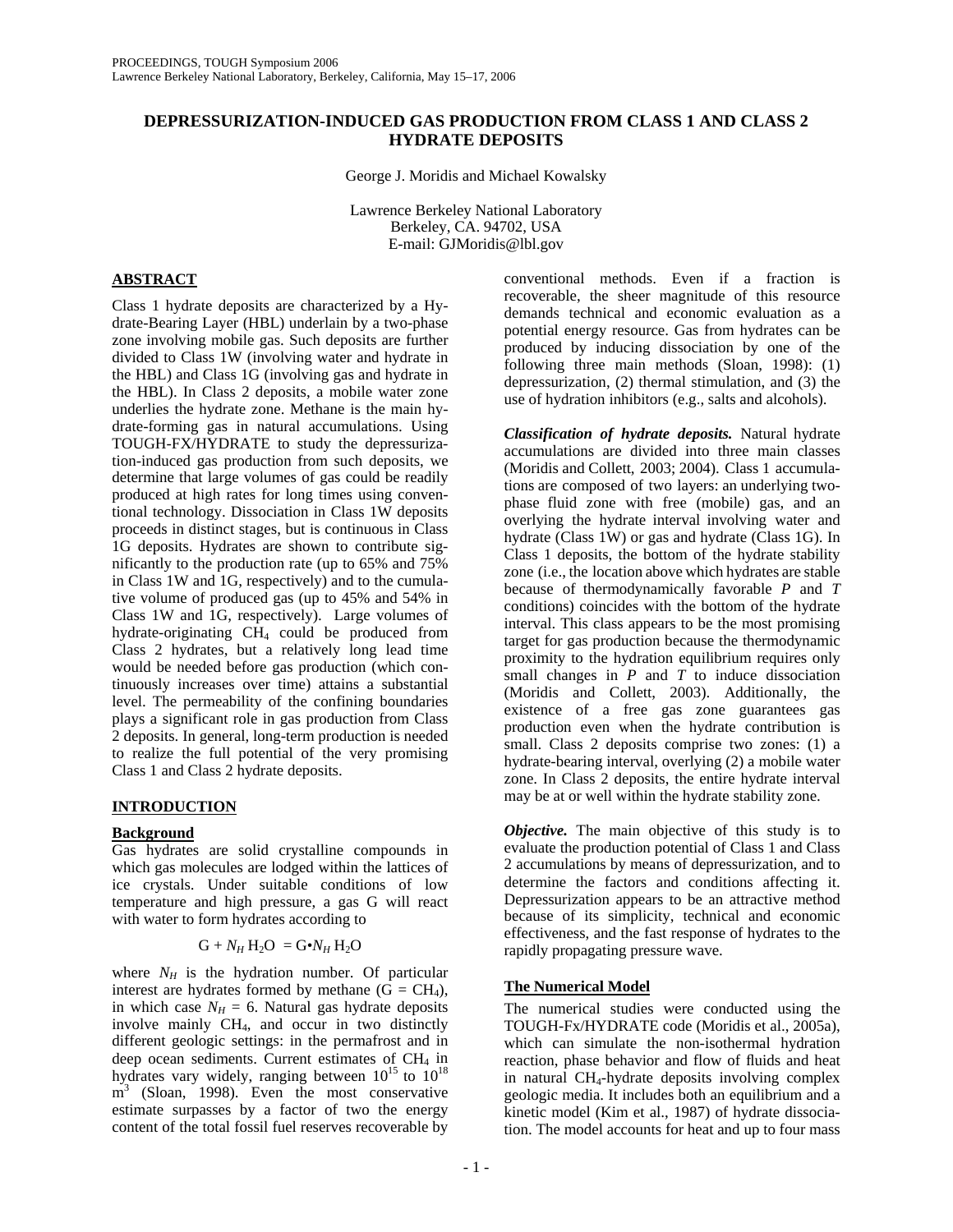## **DEPRESSURIZATION-INDUCED GAS PRODUCTION FROM CLASS 1 AND CLASS 2 HYDRATE DEPOSITS**

George J. Moridis and Michael Kowalsky

Lawrence Berkeley National Laboratory Berkeley, CA. 94702, USA E-mail: GJMoridis@lbl.gov

## **ABSTRACT**

Class 1 hydrate deposits are characterized by a Hydrate-Bearing Layer (HBL) underlain by a two-phase zone involving mobile gas. Such deposits are further divided to Class 1W (involving water and hydrate in the HBL) and Class 1G (involving gas and hydrate in the HBL). In Class 2 deposits, a mobile water zone underlies the hydrate zone. Methane is the main hydrate-forming gas in natural accumulations. Using TOUGH-FX/HYDRATE to study the depressurization-induced gas production from such deposits, we determine that large volumes of gas could be readily produced at high rates for long times using conventional technology. Dissociation in Class 1W deposits proceeds in distinct stages, but is continuous in Class 1G deposits. Hydrates are shown to contribute significantly to the production rate (up to 65% and 75% in Class 1W and 1G, respectively) and to the cumulative volume of produced gas (up to 45% and 54% in Class 1W and 1G, respectively). Large volumes of hydrate-originating CH4 could be produced from Class 2 hydrates, but a relatively long lead time would be needed before gas production (which continuously increases over time) attains a substantial level. The permeability of the confining boundaries plays a significant role in gas production from Class 2 deposits. In general, long-term production is needed to realize the full potential of the very promising Class 1 and Class 2 hydrate deposits.

# **INTRODUCTION**

# **Background**

Gas hydrates are solid crystalline compounds in which gas molecules are lodged within the lattices of ice crystals. Under suitable conditions of low temperature and high pressure, a gas G will react with water to form hydrates according to

$$
G + N_H H_2 O = G \cdot N_H H_2 O
$$

where  $N_H$  is the hydration number. Of particular interest are hydrates formed by methane  $(G = CH<sub>4</sub>)$ , in which case  $N_H = 6$ . Natural gas hydrate deposits involve mainly CH4, and occur in two distinctly different geologic settings: in the permafrost and in deep ocean sediments. Current estimates of  $CH<sub>4</sub>$  in hydrates vary widely, ranging between  $10^{15}$  to  $10^{18}$ m<sup>3</sup> (Sloan, 1998). Even the most conservative estimate surpasses by a factor of two the energy content of the total fossil fuel reserves recoverable by

conventional methods. Even if a fraction is recoverable, the sheer magnitude of this resource demands technical and economic evaluation as a potential energy resource. Gas from hydrates can be produced by inducing dissociation by one of the following three main methods (Sloan, 1998): (1) depressurization, (2) thermal stimulation, and (3) the use of hydration inhibitors (e.g., salts and alcohols).

*Classification of hydrate deposits.* Natural hydrate accumulations are divided into three main classes (Moridis and Collett, 2003; 2004). Class 1 accumulations are composed of two layers: an underlying twophase fluid zone with free (mobile) gas, and an overlying the hydrate interval involving water and hydrate (Class 1W) or gas and hydrate (Class 1G). In Class 1 deposits, the bottom of the hydrate stability zone (i.e., the location above which hydrates are stable because of thermodynamically favorable *P* and *T* conditions) coincides with the bottom of the hydrate interval. This class appears to be the most promising target for gas production because the thermodynamic proximity to the hydration equilibrium requires only small changes in  $P$  and  $T$  to induce dissociation (Moridis and Collett, 2003). Additionally, the existence of a free gas zone guarantees gas production even when the hydrate contribution is small. Class 2 deposits comprise two zones: (1) a hydrate-bearing interval, overlying (2) a mobile water zone. In Class 2 deposits, the entire hydrate interval may be at or well within the hydrate stability zone.

*Objective*. The main objective of this study is to evaluate the production potential of Class 1 and Class 2 accumulations by means of depressurization, and to determine the factors and conditions affecting it. Depressurization appears to be an attractive method because of its simplicity, technical and economic effectiveness, and the fast response of hydrates to the rapidly propagating pressure wave.

# **The Numerical Model**

The numerical studies were conducted using the TOUGH-Fx/HYDRATE code (Moridis et al., 2005a), which can simulate the non-isothermal hydration reaction, phase behavior and flow of fluids and heat in natural CH<sub>4</sub>-hydrate deposits involving complex geologic media. It includes both an equilibrium and a kinetic model (Kim et al., 1987) of hydrate dissociation. The model accounts for heat and up to four mass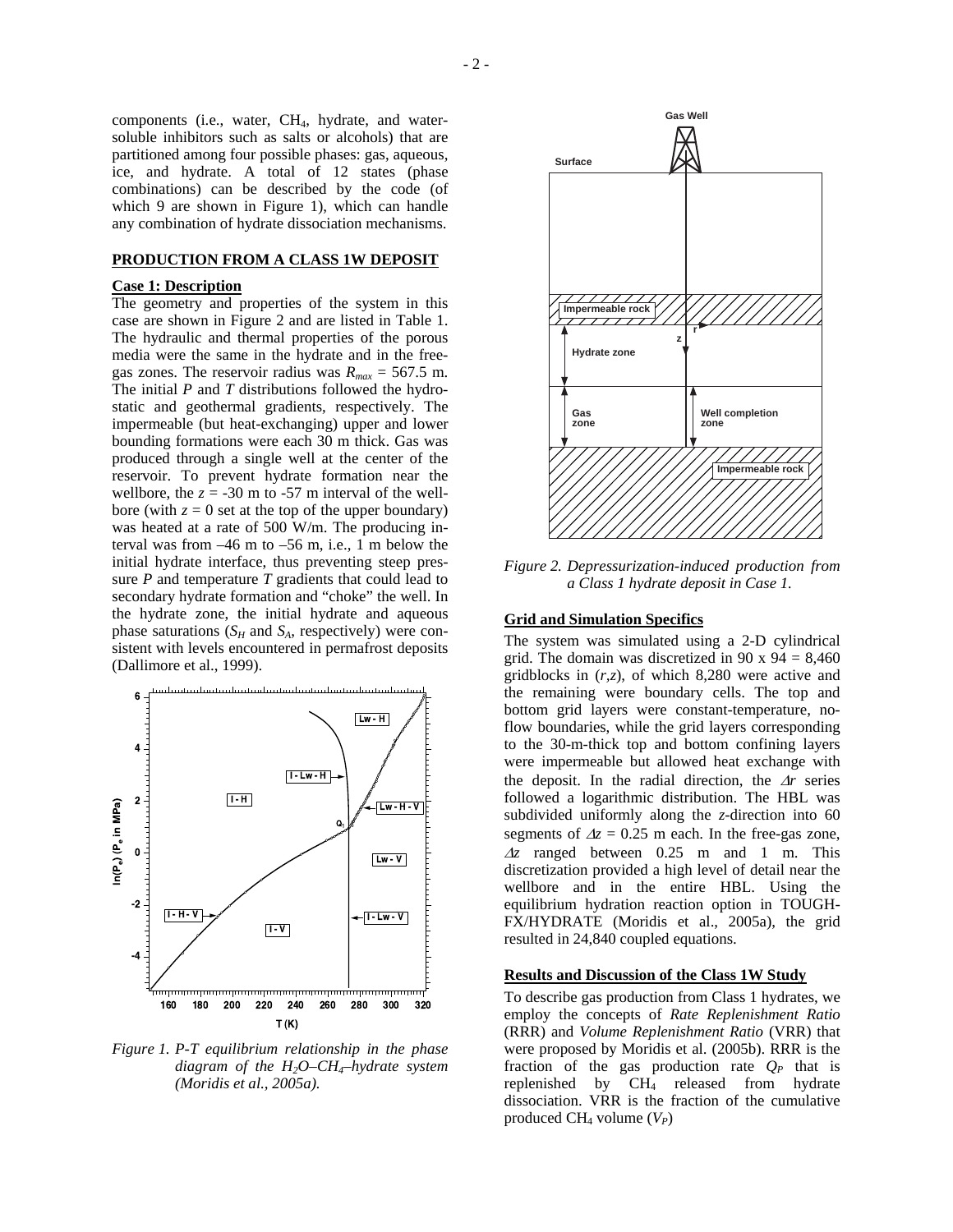components (i.e., water, CH4, hydrate, and watersoluble inhibitors such as salts or alcohols) that are partitioned among four possible phases: gas, aqueous, ice, and hydrate. A total of 12 states (phase combinations) can be described by the code (of which 9 are shown in Figure 1), which can handle any combination of hydrate dissociation mechanisms.

### **PRODUCTION FROM A CLASS 1W DEPOSIT**

#### **Case 1: Description**

The geometry and properties of the system in this case are shown in Figure 2 and are listed in Table 1. The hydraulic and thermal properties of the porous media were the same in the hydrate and in the freegas zones. The reservoir radius was  $R_{max} = 567.5$  m. The initial *P* and *T* distributions followed the hydrostatic and geothermal gradients, respectively. The impermeable (but heat-exchanging) upper and lower bounding formations were each 30 m thick. Gas was produced through a single well at the center of the reservoir. To prevent hydrate formation near the wellbore, the  $z = -30$  m to  $-57$  m interval of the wellbore (with  $z = 0$  set at the top of the upper boundary) was heated at a rate of 500 W/m. The producing interval was from –46 m to –56 m, i.e., 1 m below the initial hydrate interface, thus preventing steep pressure *P* and temperature *T* gradients that could lead to secondary hydrate formation and "choke" the well. In the hydrate zone, the initial hydrate and aqueous phase saturations  $(S_H \text{ and } S_A)$ , respectively) were consistent with levels encountered in permafrost deposits (Dallimore et al., 1999).



*Figure 1. P-T equilibrium relationship in the phase diagram of the H2O–CH4–hydrate system (Moridis et al., 2005a).*



*Figure 2. Depressurization-induced production from a Class 1 hydrate deposit in Case 1.*

### **Grid and Simulation Specifics**

The system was simulated using a 2-D cylindrical grid. The domain was discretized in 90 x 94 =  $8,460$ gridblocks in (*r,z*), of which 8,280 were active and the remaining were boundary cells. The top and bottom grid layers were constant-temperature, noflow boundaries, while the grid layers corresponding to the 30-m-thick top and bottom confining layers were impermeable but allowed heat exchange with the deposit. In the radial direction, the ∆*r* series followed a logarithmic distribution. The HBL was subdivided uniformly along the *z*-direction into 60 segments of  $\Delta z = 0.25$  m each. In the free-gas zone, <sup>∆</sup>*z* ranged between 0.25 m and 1 m. This discretization provided a high level of detail near the wellbore and in the entire HBL. Using the equilibrium hydration reaction option in TOUGH-FX/HYDRATE (Moridis et al., 2005a), the grid resulted in 24,840 coupled equations.

## **Results and Discussion of the Class 1W Study**

To describe gas production from Class 1 hydrates, we employ the concepts of *Rate Replenishment Ratio* (RRR) and *Volume Replenishment Ratio* (VRR) that were proposed by Moridis et al. (2005b). RRR is the fraction of the gas production rate  $Q_P$  that is replenished by  $CH<sub>4</sub>$  released from hydrate dissociation. VRR is the fraction of the cumulative produced  $CH_4$  volume  $(V_P)$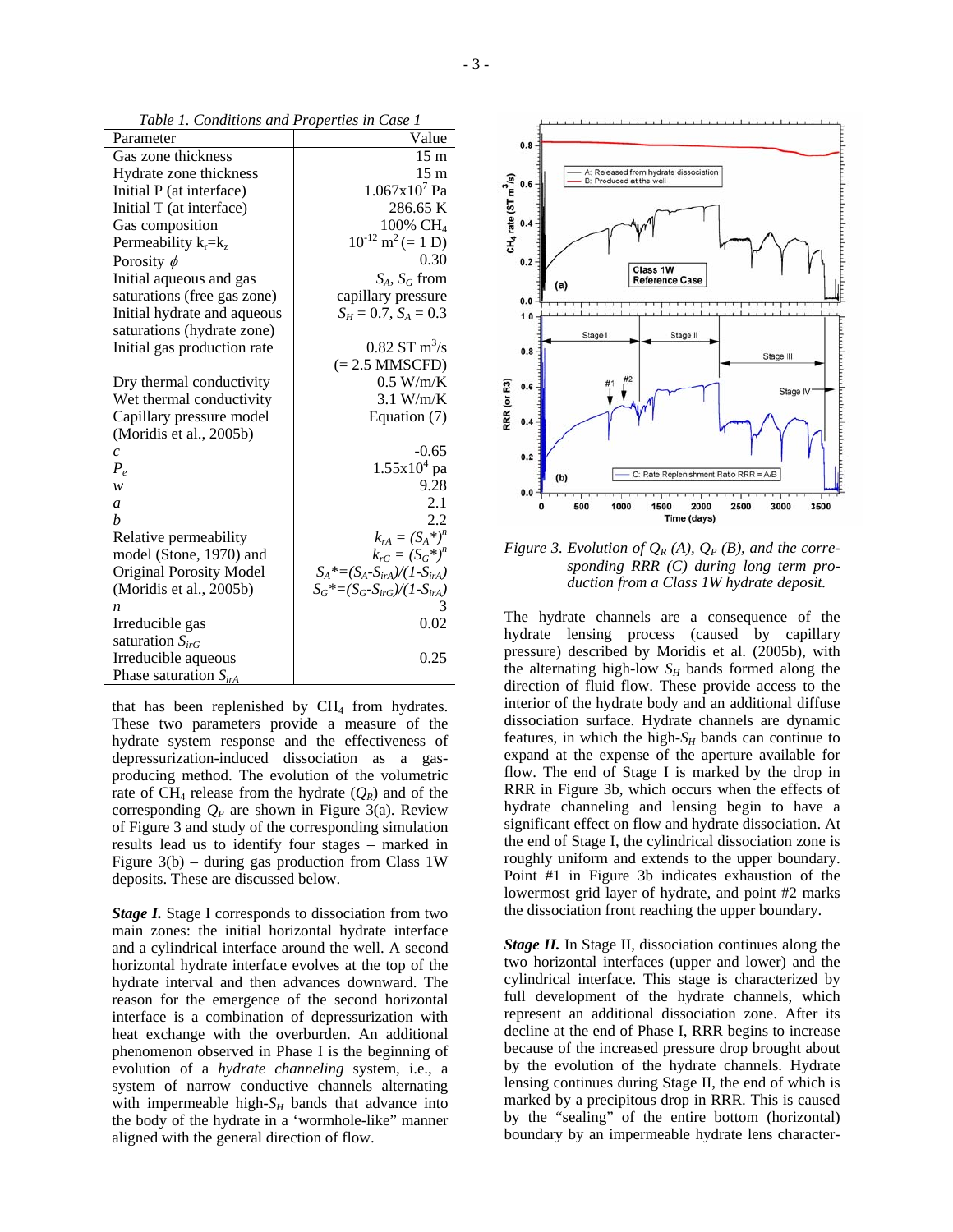*Table 1. Conditions and Properties in Case 1* 

| Parameter                      | Value                             |
|--------------------------------|-----------------------------------|
| Gas zone thickness             | 15 <sub>m</sub>                   |
| Hydrate zone thickness         | 15 <sub>m</sub>                   |
| Initial P (at interface)       | $1.067x10^7$ Pa                   |
| Initial T (at interface)       | 286.65 K                          |
| Gas composition                | 100% CH <sub>4</sub>              |
| Permeability $k_r = k_z$       | $10^{-12}$ m <sup>2</sup> (= 1 D) |
| Porosity $\phi$                | 0.30                              |
| Initial aqueous and gas        | $S_A$ , $S_G$ from                |
| saturations (free gas zone)    | capillary pressure                |
| Initial hydrate and aqueous    | $S_H = 0.7$ , $S_A = 0.3$         |
| saturations (hydrate zone)     |                                   |
| Initial gas production rate    | $0.82$ ST m <sup>3</sup> /s       |
|                                | $(= 2.5$ MMSCFD)                  |
| Dry thermal conductivity       | 0.5 W/m/K                         |
| Wet thermal conductivity       | $3.1$ W/m/K                       |
| Capillary pressure model       | Equation (7)                      |
| (Moridis et al., 2005b)        |                                   |
| $\mathcal{C}_{0}$              | $-0.65$                           |
| $P_e$                          | $1.55x10^{4}$ pa                  |
| w                              | 9.28                              |
| a                              | 2.1                               |
| h                              | 2.2                               |
| Relative permeability          | $k_{rA} = (S_A^*)^n$              |
| model (Stone, 1970) and        | $k_{rG} = (S_G^*)^n$              |
| <b>Original Porosity Model</b> | $S_A^*=(S_A-S_{irA})/(1-S_{irA})$ |
| (Moridis et al., 2005b)        | $S_G^*=(S_G-S_{irG})/(1-S_{irA})$ |
| n                              | 3                                 |
| Irreducible gas                | 0.02                              |
| saturation $S_{irG}$           |                                   |
| Irreducible aqueous            | 0.25                              |
| Phase saturation $S_{irA}$     |                                   |

that has been replenished by  $CH<sub>4</sub>$  from hydrates. These two parameters provide a measure of the hydrate system response and the effectiveness of depressurization-induced dissociation as a gasproducing method. The evolution of the volumetric rate of CH<sub>4</sub> release from the hydrate  $(Q_R)$  and of the corresponding  $Q_P$  are shown in Figure 3(a). Review of Figure 3 and study of the corresponding simulation results lead us to identify four stages – marked in Figure  $3(b)$  – during gas production from Class 1W deposits. These are discussed below.

*Stage I.* Stage I corresponds to dissociation from two main zones: the initial horizontal hydrate interface and a cylindrical interface around the well. A second horizontal hydrate interface evolves at the top of the hydrate interval and then advances downward. The reason for the emergence of the second horizontal interface is a combination of depressurization with heat exchange with the overburden. An additional phenomenon observed in Phase I is the beginning of evolution of a *hydrate channeling* system, i.e., a system of narrow conductive channels alternating with impermeable high- $S_H$  bands that advance into the body of the hydrate in a 'wormhole-like" manner aligned with the general direction of flow.



*Figure 3. Evolution of*  $Q_R(A)$ *,*  $Q_P(B)$ *, and the corresponding RRR (C) during long term production from a Class 1W hydrate deposit.*

The hydrate channels are a consequence of the hydrate lensing process (caused by capillary pressure) described by Moridis et al. (2005b), with the alternating high-low  $S_H$  bands formed along the direction of fluid flow. These provide access to the interior of the hydrate body and an additional diffuse dissociation surface. Hydrate channels are dynamic features, in which the high- $S_H$  bands can continue to expand at the expense of the aperture available for flow. The end of Stage I is marked by the drop in RRR in Figure 3b, which occurs when the effects of hydrate channeling and lensing begin to have a significant effect on flow and hydrate dissociation. At the end of Stage I, the cylindrical dissociation zone is roughly uniform and extends to the upper boundary. Point #1 in Figure 3b indicates exhaustion of the lowermost grid layer of hydrate, and point #2 marks the dissociation front reaching the upper boundary.

*Stage II.* In Stage II, dissociation continues along the two horizontal interfaces (upper and lower) and the cylindrical interface. This stage is characterized by full development of the hydrate channels, which represent an additional dissociation zone. After its decline at the end of Phase I, RRR begins to increase because of the increased pressure drop brought about by the evolution of the hydrate channels. Hydrate lensing continues during Stage II, the end of which is marked by a precipitous drop in RRR. This is caused by the "sealing" of the entire bottom (horizontal) boundary by an impermeable hydrate lens character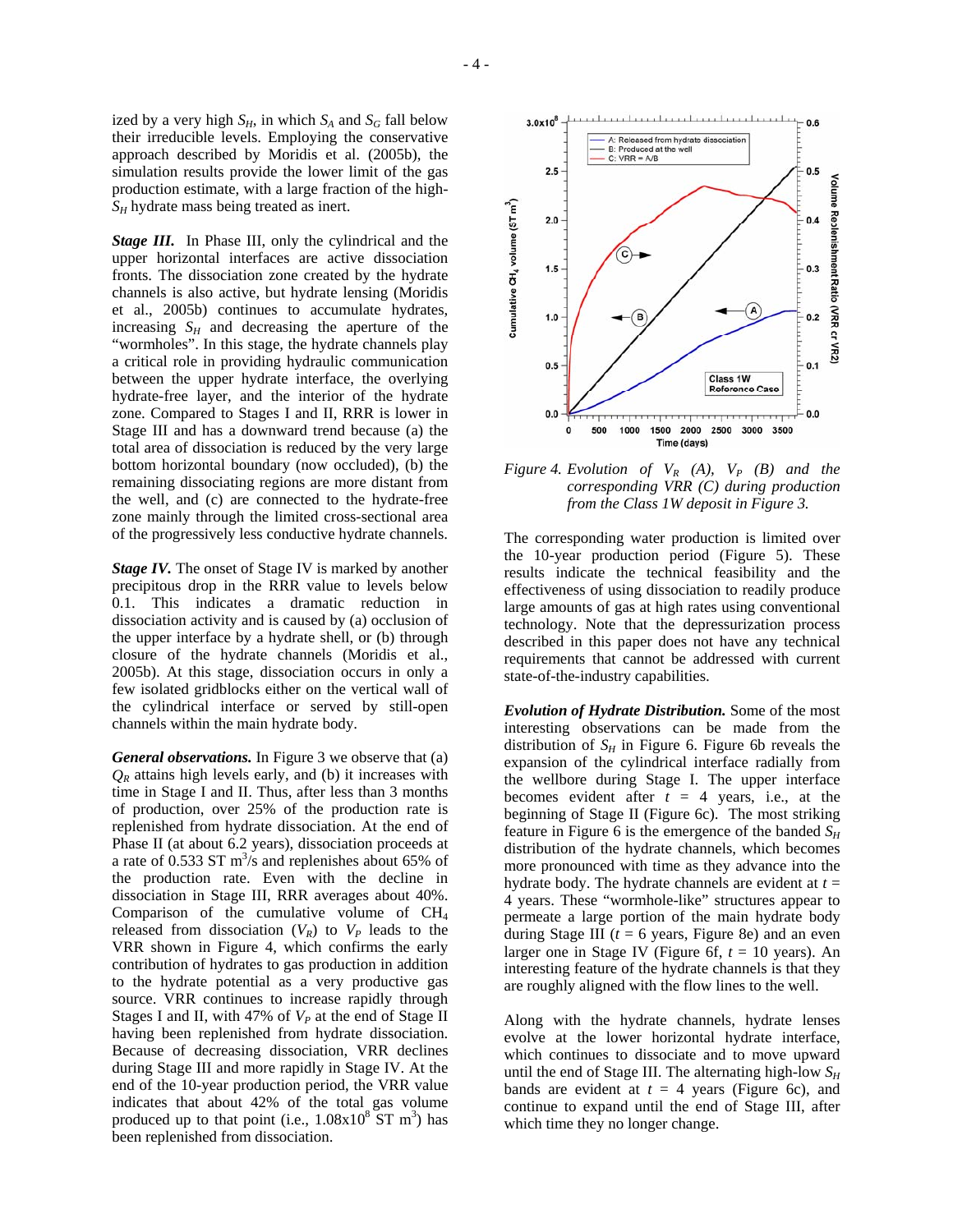ized by a very high  $S_H$ , in which  $S_A$  and  $S_G$  fall below their irreducible levels. Employing the conservative approach described by Moridis et al. (2005b), the simulation results provide the lower limit of the gas

production estimate, with a large fraction of the high-

*SH* hydrate mass being treated as inert.

*Stage III.* In Phase III, only the cylindrical and the upper horizontal interfaces are active dissociation fronts. The dissociation zone created by the hydrate channels is also active, but hydrate lensing (Moridis et al., 2005b) continues to accumulate hydrates, increasing  $S_H$  and decreasing the aperture of the "wormholes". In this stage, the hydrate channels play a critical role in providing hydraulic communication between the upper hydrate interface, the overlying hydrate-free layer, and the interior of the hydrate zone. Compared to Stages I and II, RRR is lower in Stage III and has a downward trend because (a) the total area of dissociation is reduced by the very large bottom horizontal boundary (now occluded), (b) the remaining dissociating regions are more distant from the well, and (c) are connected to the hydrate-free zone mainly through the limited cross-sectional area of the progressively less conductive hydrate channels.

*Stage IV.* The onset of Stage IV is marked by another precipitous drop in the RRR value to levels below 0.1. This indicates a dramatic reduction in dissociation activity and is caused by (a) occlusion of the upper interface by a hydrate shell, or (b) through closure of the hydrate channels (Moridis et al., 2005b). At this stage, dissociation occurs in only a few isolated gridblocks either on the vertical wall of the cylindrical interface or served by still-open channels within the main hydrate body.

*General observations.* In Figure 3 we observe that (a)  $Q_R$  attains high levels early, and (b) it increases with time in Stage I and II. Thus, after less than 3 months of production, over 25% of the production rate is replenished from hydrate dissociation. At the end of Phase II (at about 6.2 years), dissociation proceeds at a rate of  $0.533$  ST m<sup>3</sup>/s and replenishes about 65% of the production rate. Even with the decline in dissociation in Stage III, RRR averages about 40%. Comparison of the cumulative volume of CH4 released from dissociation  $(V_R)$  to  $V_P$  leads to the VRR shown in Figure 4, which confirms the early contribution of hydrates to gas production in addition to the hydrate potential as a very productive gas source. VRR continues to increase rapidly through Stages I and II, with 47% of  $V_P$  at the end of Stage II having been replenished from hydrate dissociation. Because of decreasing dissociation, VRR declines during Stage III and more rapidly in Stage IV. At the end of the 10-year production period, the VRR value indicates that about 42% of the total gas volume produced up to that point (i.e.,  $1.08x10^8$  ST m<sup>3</sup>) has been replenished from dissociation.



*Figure* 4. *Evolution of*  $V_R$  (A),  $V_P$  (B) and the *corresponding VRR (C) during production from the Class 1W deposit in Figure 3.*

The corresponding water production is limited over the 10-year production period (Figure 5). These results indicate the technical feasibility and the effectiveness of using dissociation to readily produce large amounts of gas at high rates using conventional technology. Note that the depressurization process described in this paper does not have any technical requirements that cannot be addressed with current state-of-the-industry capabilities.

*Evolution of Hydrate Distribution.* Some of the most interesting observations can be made from the distribution of  $S_H$  in Figure 6. Figure 6b reveals the expansion of the cylindrical interface radially from the wellbore during Stage I. The upper interface becomes evident after  $t = 4$  years, i.e., at the beginning of Stage II (Figure 6c). The most striking feature in Figure 6 is the emergence of the banded  $S_H$ distribution of the hydrate channels, which becomes more pronounced with time as they advance into the hydrate body. The hydrate channels are evident at  $t =$ 4 years. These "wormhole-like" structures appear to permeate a large portion of the main hydrate body during Stage III ( $t = 6$  years, Figure 8e) and an even larger one in Stage IV (Figure 6f,  $t = 10$  years). An interesting feature of the hydrate channels is that they are roughly aligned with the flow lines to the well.

Along with the hydrate channels, hydrate lenses evolve at the lower horizontal hydrate interface, which continues to dissociate and to move upward until the end of Stage III. The alternating high-low *SH* bands are evident at  $t = 4$  years (Figure 6c), and continue to expand until the end of Stage III, after which time they no longer change.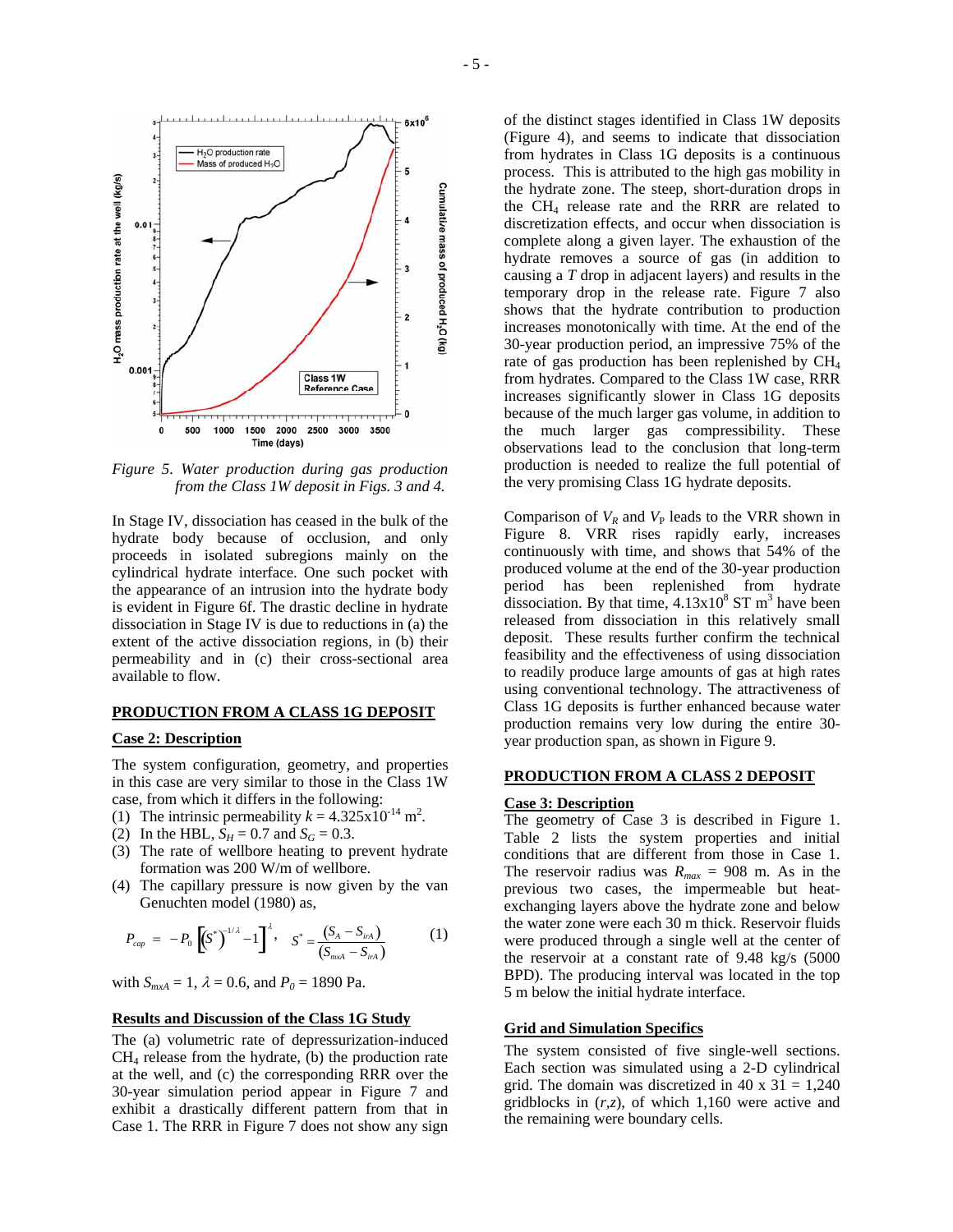

*Figure 5. Water production during gas production from the Class 1W deposit in Figs. 3 and 4.*

In Stage IV, dissociation has ceased in the bulk of the hydrate body because of occlusion, and only proceeds in isolated subregions mainly on the cylindrical hydrate interface. One such pocket with the appearance of an intrusion into the hydrate body is evident in Figure 6f. The drastic decline in hydrate dissociation in Stage IV is due to reductions in (a) the extent of the active dissociation regions, in (b) their permeability and in (c) their cross-sectional area available to flow.

#### **PRODUCTION FROM A CLASS 1G DEPOSIT**

## **Case 2: Description**

The system configuration, geometry, and properties in this case are very similar to those in the Class 1W case, from which it differs in the following:

- (1) The intrinsic permeability  $k = 4.325 \times 10^{-14}$  m<sup>2</sup>.
- (2) In the HBL,  $S_H = 0.7$  and  $S_G = 0.3$ .
- (3) The rate of wellbore heating to prevent hydrate formation was 200 W/m of wellbore.
- (4) The capillary pressure is now given by the van Genuchten model (1980) as,

$$
P_{cap} = -P_0 \left[ (S^*)^{-1/2} - 1 \right]^{\lambda}, \quad S^* = \frac{(S_A - S_{inA})}{(S_{max} - S_{inA})}
$$
 (1)

with  $S_{mxA} = 1$ ,  $\lambda = 0.6$ , and  $P_0 = 1890$  Pa.

## **Results and Discussion of the Class 1G Study**

The (a) volumetric rate of depressurization-induced  $CH<sub>4</sub>$  release from the hydrate, (b) the production rate at the well, and (c) the corresponding RRR over the 30-year simulation period appear in Figure 7 and exhibit a drastically different pattern from that in Case 1. The RRR in Figure 7 does not show any sign

of the distinct stages identified in Class 1W deposits (Figure 4), and seems to indicate that dissociation from hydrates in Class 1G deposits is a continuous process. This is attributed to the high gas mobility in the hydrate zone. The steep, short-duration drops in the CH4 release rate and the RRR are related to discretization effects, and occur when dissociation is complete along a given layer. The exhaustion of the hydrate removes a source of gas (in addition to causing a *T* drop in adjacent layers) and results in the temporary drop in the release rate. Figure 7 also shows that the hydrate contribution to production increases monotonically with time. At the end of the 30-year production period, an impressive 75% of the rate of gas production has been replenished by  $CH<sub>4</sub>$ from hydrates. Compared to the Class 1W case, RRR increases significantly slower in Class 1G deposits because of the much larger gas volume, in addition to the much larger gas compressibility. These observations lead to the conclusion that long-term production is needed to realize the full potential of the very promising Class 1G hydrate deposits.

Comparison of  $V_R$  and  $V_P$  leads to the VRR shown in Figure 8. VRR rises rapidly early, increases continuously with time, and shows that 54% of the produced volume at the end of the 30-year production period has been replenished from hydrate dissociation. By that time,  $4.13 \times 10^8$  ST m<sup>3</sup> have been released from dissociation in this relatively small deposit. These results further confirm the technical feasibility and the effectiveness of using dissociation to readily produce large amounts of gas at high rates using conventional technology. The attractiveness of Class 1G deposits is further enhanced because water production remains very low during the entire 30 year production span, as shown in Figure 9.

#### **PRODUCTION FROM A CLASS 2 DEPOSIT**

### **Case 3: Description**

The geometry of Case 3 is described in Figure 1. Table 2 lists the system properties and initial conditions that are different from those in Case 1. The reservoir radius was  $R_{max} = 908$  m. As in the previous two cases, the impermeable but heatexchanging layers above the hydrate zone and below the water zone were each 30 m thick. Reservoir fluids were produced through a single well at the center of the reservoir at a constant rate of 9.48 kg/s (5000 BPD). The producing interval was located in the top 5 m below the initial hydrate interface.

### **Grid and Simulation Specifics**

The system consisted of five single-well sections. Each section was simulated using a 2-D cylindrical grid. The domain was discretized in 40 x  $31 = 1,240$ gridblocks in (*r,z*), of which 1,160 were active and the remaining were boundary cells.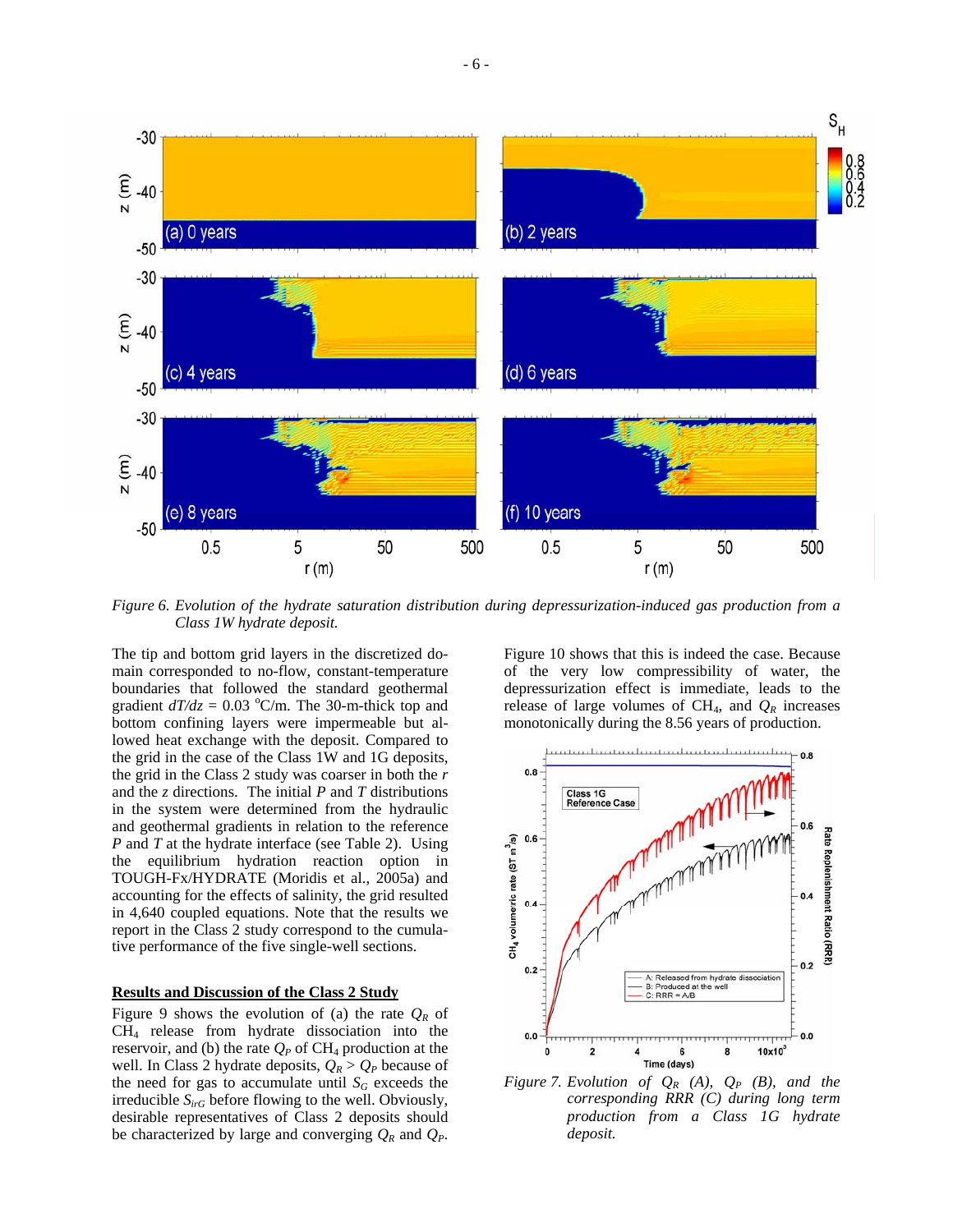

*Figure 6. Evolution of the hydrate saturation distribution during depressurization-induced gas production from a Class 1W hydrate deposit.*

The tip and bottom grid layers in the discretized domain corresponded to no-flow, constant-temperature boundaries that followed the standard geothermal gradient  $dT/dz = 0.03$  °C/m. The 30-m-thick top and bottom confining layers were impermeable but allowed heat exchange with the deposit. Compared to the grid in the case of the Class 1W and 1G deposits, the grid in the Class 2 study was coarser in both the *r* and the *z* directions. The initial *P* and *T* distributions in the system were determined from the hydraulic and geothermal gradients in relation to the reference *P* and *T* at the hydrate interface (see Table 2). Using the equilibrium hydration reaction option in TOUGH-Fx/HYDRATE (Moridis et al., 2005a) and accounting for the effects of salinity, the grid resulted in 4,640 coupled equations. Note that the results we report in the Class 2 study correspond to the cumulative performance of the five single-well sections.

## **Results and Discussion of the Class 2 Study**

Figure 9 shows the evolution of (a) the rate  $Q_R$  of CH4 release from hydrate dissociation into the reservoir, and (b) the rate  $Q_P$  of CH<sub>4</sub> production at the well. In Class 2 hydrate deposits,  $Q_R > Q_P$  because of the need for gas to accumulate until  $S_G$  exceeds the irreducible *SirG* before flowing to the well. Obviously, desirable representatives of Class 2 deposits should be characterized by large and converging  $Q_R$  and  $Q_P$ .

Figure 10 shows that this is indeed the case. Because of the very low compressibility of water, the depressurization effect is immediate, leads to the release of large volumes of  $CH_4$ , and  $Q_R$  increases monotonically during the 8.56 years of production.



*Figure 7. Evolution of*  $Q_R$  *(A),*  $Q_P$  *(B), and the corresponding RRR (C) during long term production from a Class 1G hydrate deposit.*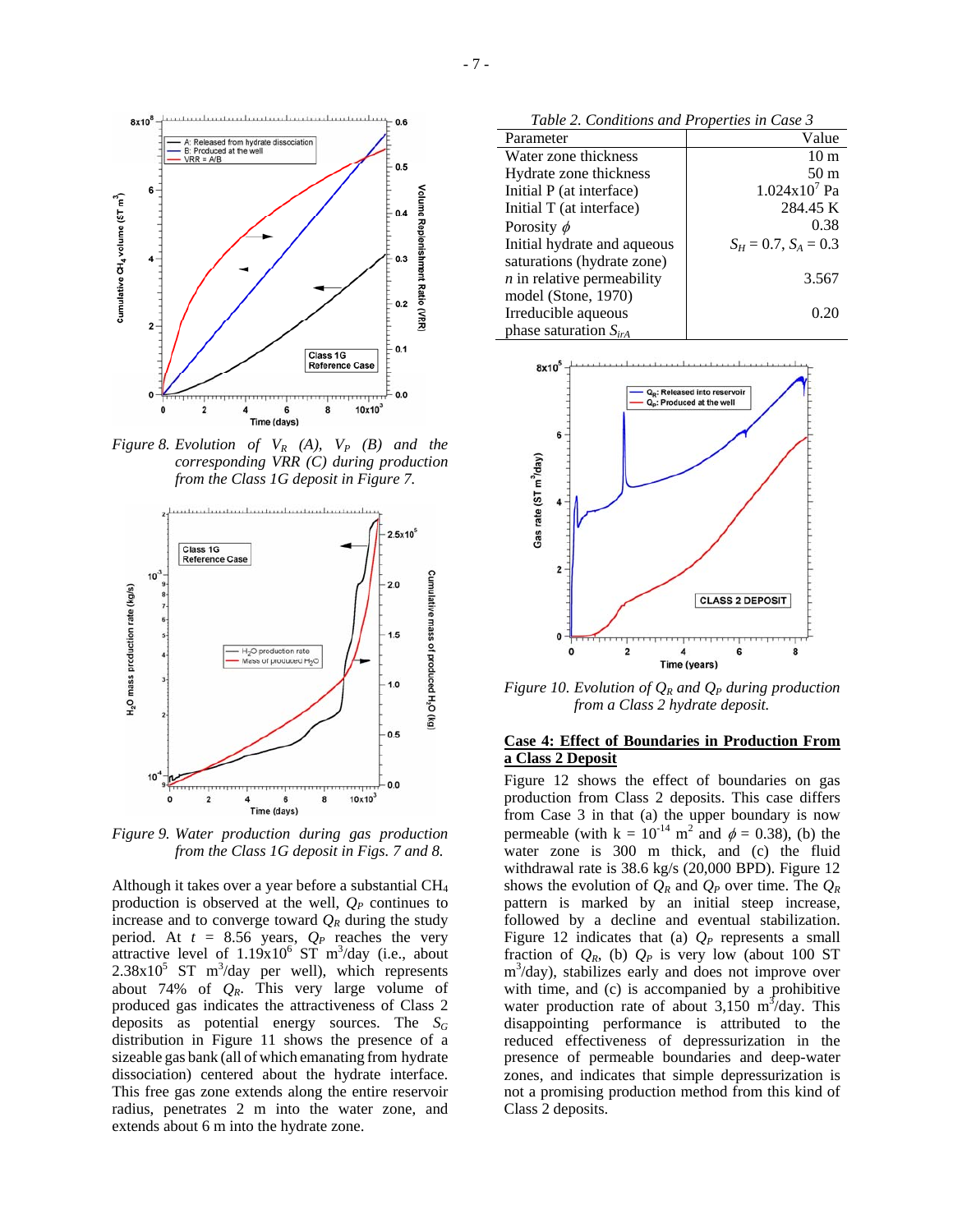

*Figure* 8. *Evolution of*  $V_R$  (A),  $V_P$  (B) and the *corresponding VRR (C) during production from the Class 1G deposit in Figure 7.*



*Figure 9. Water production during gas production from the Class 1G deposit in Figs. 7 and 8.*

Although it takes over a year before a substantial CH4 production is observed at the well,  $Q_P$  continues to increase and to converge toward  $Q_R$  during the study period. At  $t = 8.56$  years,  $Q_P$  reaches the very attractive level of  $1.19x10^6$  ST m<sup>3</sup>/day (i.e., about  $2.38 \times 10^5$  ST m<sup>3</sup>/day per well), which represents about 74% of *QR*. This very large volume of produced gas indicates the attractiveness of Class 2 deposits as potential energy sources. The *SG* distribution in Figure 11 shows the presence of a sizeable gas bank (all of which emanating from hydrate dissociation) centered about the hydrate interface. This free gas zone extends along the entire reservoir radius, penetrates 2 m into the water zone, and extends about 6 m into the hydrate zone.

*Table 2. Conditions and Properties in Case 3* 

| Parameter                    | Value                     |
|------------------------------|---------------------------|
| Water zone thickness         | 10 <sub>m</sub>           |
| Hydrate zone thickness       | 50 <sub>m</sub>           |
| Initial P (at interface)     | $1.024x10^7$ Pa           |
| Initial T (at interface)     | 284.45 K                  |
| Porosity $\phi$              | 0.38                      |
| Initial hydrate and aqueous  | $S_H = 0.7$ , $S_A = 0.3$ |
| saturations (hydrate zone)   |                           |
| $n$ in relative permeability | 3.567                     |
| model (Stone, 1970)          |                           |
| Irreducible aqueous          | 0.20                      |
| phase saturation $S_{irA}$   |                           |



*Figure 10. Evolution of*  $Q_R$  *and*  $Q_P$  *during production from a Class 2 hydrate deposit.* 

### **Case 4: Effect of Boundaries in Production From a Class 2 Deposit**

Figure 12 shows the effect of boundaries on gas production from Class 2 deposits. This case differs from Case 3 in that (a) the upper boundary is now permeable (with  $k = 10^{-14}$  m<sup>2</sup> and  $\phi = 0.38$ ), (b) the water zone is 300 m thick, and (c) the fluid withdrawal rate is 38.6 kg/s (20,000 BPD). Figure 12 shows the evolution of  $Q_R$  and  $Q_P$  over time. The  $Q_R$ pattern is marked by an initial steep increase, followed by a decline and eventual stabilization. Figure 12 indicates that (a)  $Q_P$  represents a small fraction of  $Q_R$ , (b)  $Q_P$  is very low (about 100 ST m3 /day), stabilizes early and does not improve over with time, and (c) is accompanied by a prohibitive water production rate of about  $3,150 \text{ m}^3/\text{day}$ . This disappointing performance is attributed to the reduced effectiveness of depressurization in the presence of permeable boundaries and deep-water zones, and indicates that simple depressurization is not a promising production method from this kind of Class 2 deposits.